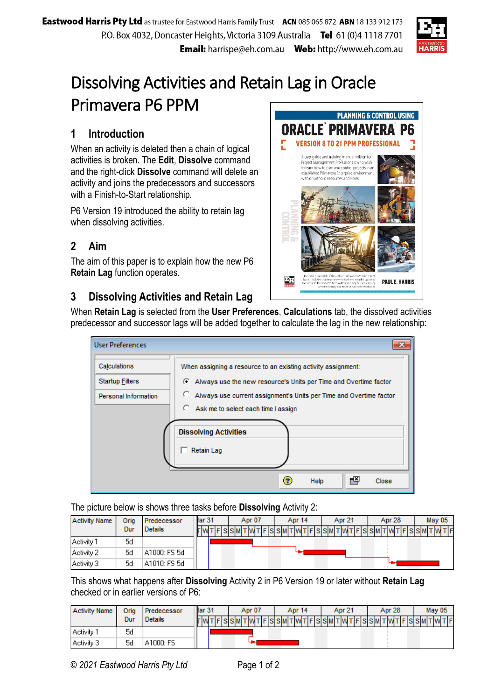

Pĥ

## Dissolving Activities and Retain Lag in Oracle Primavera P6 PPM **PLANNING & CONTROL USING**

## **1 Introduction**

When an activity is deleted then a chain of logical activities is broken. The **Edit**, **Dissolve** command and the right-click **Dissolve** command will delete an activity and joins the predecessors and successors with a Finish-to-Start relationship.

P6 Version 19 introduced the ability to retain lag when dissolving activities.

## **2 Aim**

The aim of this paper is to explain how the new P6 **Retain Lag** function operates.



ORACLE PRIMAVE

**VERSION 8 TO 21 PPM PROFESSIO** A user quide and training manual written for Project Management Professionals who wish<br>to learn how to plan and control projects in an<br>established Primavera Enterprise environment with or without Resources and Roles

## **3 Dissolving Activities and Retain Lag**

When **Retain Lag** is selected from the **User Preferences**, **Calculations** tab, the dissolved activities predecessor and successor lags will be added together to calculate the lag in the new relationship:

| <b>User Preferences</b> | ×                                                                       |
|-------------------------|-------------------------------------------------------------------------|
| Calculations            | When assigning a resource to an existing activity assignment:           |
| <b>Startup Filters</b>  | Always use the new resource's Units per Time and Overtime factor        |
| Personal Information    | o<br>Always use current assignment's Units per Time and Overtime factor |
|                         | О.<br>Ask me to select each time I assign                               |
|                         | <b>Dissolving Activities</b><br><b>Retain Lag</b>                       |
|                         | ਦਕ<br>3<br>Help<br>Close                                                |

The picture below is shows three tasks before **Dissolving** Activity 2:

| <b>Activity Name</b> | Oria | Predecessor    | llar <sub>31</sub> | Apr 07 | Apr 14 | Apr 21 | Apr 28                                                          | May 05 |  |  |
|----------------------|------|----------------|--------------------|--------|--------|--------|-----------------------------------------------------------------|--------|--|--|
|                      | Dur  | <b>Details</b> |                    |        |        |        | F S S M T WT F S S M T WT F S S M T WT F S S M T WT F S S M T W | TF     |  |  |
| Activity 1           | 5d   |                |                    |        |        |        |                                                                 |        |  |  |
| Activity 2           | 5d   | A1000: FS 5d   |                    |        |        |        |                                                                 |        |  |  |
| Activity 3           | 5d   | A1010: FS 5d   |                    |        |        |        |                                                                 |        |  |  |

This shows what happens after **Dissolving** Activity 2 in P6 Version 19 or later without **Retain Lag** checked or in earlier versions of P6:

| <b>Activity Name</b> | Oria | Predecessor    | llar <sub>31</sub> | Apr 07                                         | Apr 14 | Apr 21 | Apr 28 | <b>May 05</b> |  |  |
|----------------------|------|----------------|--------------------|------------------------------------------------|--------|--------|--------|---------------|--|--|
|                      | Dur  | <b>Details</b> | T W T              | TFSSMTWTFSSMTWTFISSMTWTFSSMTWTFSSMTWTFSSMTFITT |        |        |        |               |  |  |
| l Activity 1         | 5d   |                |                    |                                                |        |        |        |               |  |  |
| Activity 3           | 5d   | A1000: FS      |                    |                                                |        |        |        |               |  |  |